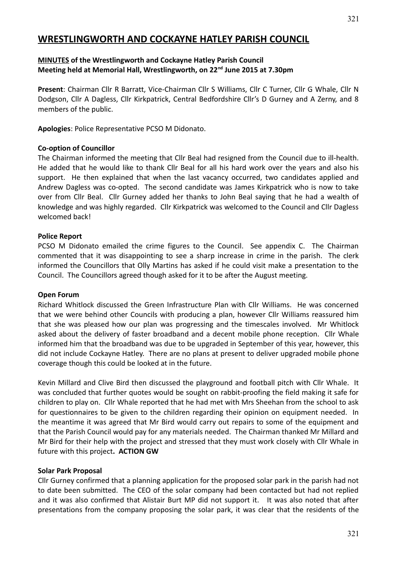# **WRESTLINGWORTH AND COCKAYNE HATLEY PARISH COUNCIL**

#### **MINUTES of the Wrestlingworth and Cockayne Hatley Parish Council Meeting held at Memorial Hall, Wrestlingworth, on 22nd June 2015 at 7.30pm**

**Present**: Chairman Cllr R Barratt, Vice-Chairman Cllr S Williams, Cllr C Turner, Cllr G Whale, Cllr N Dodgson, Cllr A Dagless, Cllr Kirkpatrick, Central Bedfordshire Cllr's D Gurney and A Zerny, and 8 members of the public.

**Apologies**: Police Representative PCSO M Didonato.

#### **Co-option of Councillor**

The Chairman informed the meeting that Cllr Beal had resigned from the Council due to ill-health. He added that he would like to thank Cllr Beal for all his hard work over the years and also his support. He then explained that when the last vacancy occurred, two candidates applied and Andrew Dagless was co-opted. The second candidate was James Kirkpatrick who is now to take over from Cllr Beal. Cllr Gurney added her thanks to John Beal saying that he had a wealth of knowledge and was highly regarded. Cllr Kirkpatrick was welcomed to the Council and Cllr Dagless welcomed back!

#### **Police Report**

PCSO M Didonato emailed the crime figures to the Council. See appendix C. The Chairman commented that it was disappointing to see a sharp increase in crime in the parish. The clerk informed the Councillors that Olly Martins has asked if he could visit make a presentation to the Council. The Councillors agreed though asked for it to be after the August meeting.

#### **Open Forum**

Richard Whitlock discussed the Green Infrastructure Plan with Cllr Williams. He was concerned that we were behind other Councils with producing a plan, however Cllr Williams reassured him that she was pleased how our plan was progressing and the timescales involved. Mr Whitlock asked about the delivery of faster broadband and a decent mobile phone reception. Cllr Whale informed him that the broadband was due to be upgraded in September of this year, however, this did not include Cockayne Hatley. There are no plans at present to deliver upgraded mobile phone coverage though this could be looked at in the future.

Kevin Millard and Clive Bird then discussed the playground and football pitch with Cllr Whale. It was concluded that further quotes would be sought on rabbit-proofing the field making it safe for children to play on. Cllr Whale reported that he had met with Mrs Sheehan from the school to ask for questionnaires to be given to the children regarding their opinion on equipment needed. In the meantime it was agreed that Mr Bird would carry out repairs to some of the equipment and that the Parish Council would pay for any materials needed. The Chairman thanked Mr Millard and Mr Bird for their help with the project and stressed that they must work closely with Cllr Whale in future with this project**. ACTION GW**

#### **Solar Park Proposal**

Cllr Gurney confirmed that a planning application for the proposed solar park in the parish had not to date been submitted. The CEO of the solar company had been contacted but had not replied and it was also confirmed that Alistair Burt MP did not support it. It was also noted that after presentations from the company proposing the solar park, it was clear that the residents of the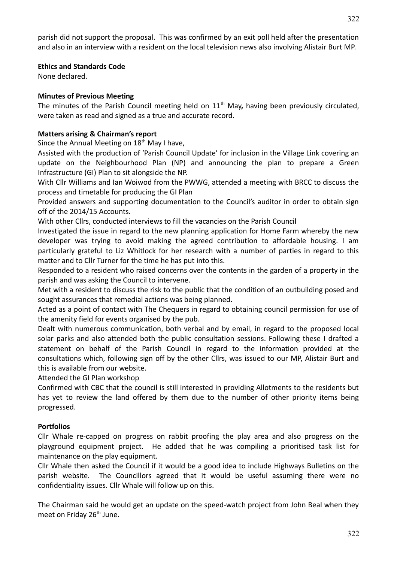parish did not support the proposal. This was confirmed by an exit poll held after the presentation and also in an interview with a resident on the local television news also involving Alistair Burt MP.

#### **Ethics and Standards Code**

None declared.

## **Minutes of Previous Meeting**

The minutes of the Parish Council meeting held on 11<sup>th</sup> May, having been previously circulated, were taken as read and signed as a true and accurate record.

## **Matters arising & Chairman's report**

Since the Annual Meeting on  $18<sup>th</sup>$  May I have,

Assisted with the production of 'Parish Council Update' for inclusion in the Village Link covering an update on the Neighbourhood Plan (NP) and announcing the plan to prepare a Green Infrastructure (GI) Plan to sit alongside the NP.

With Cllr Williams and Ian Woiwod from the PWWG, attended a meeting with BRCC to discuss the process and timetable for producing the GI Plan

Provided answers and supporting documentation to the Council's auditor in order to obtain sign off of the 2014/15 Accounts.

With other Cllrs, conducted interviews to fill the vacancies on the Parish Council

Investigated the issue in regard to the new planning application for Home Farm whereby the new developer was trying to avoid making the agreed contribution to affordable housing. I am particularly grateful to Liz Whitlock for her research with a number of parties in regard to this matter and to Cllr Turner for the time he has put into this.

Responded to a resident who raised concerns over the contents in the garden of a property in the parish and was asking the Council to intervene.

Met with a resident to discuss the risk to the public that the condition of an outbuilding posed and sought assurances that remedial actions was being planned.

Acted as a point of contact with The Chequers in regard to obtaining council permission for use of the amenity field for events organised by the pub.

Dealt with numerous communication, both verbal and by email, in regard to the proposed local solar parks and also attended both the public consultation sessions. Following these I drafted a statement on behalf of the Parish Council in regard to the information provided at the consultations which, following sign off by the other Cllrs, was issued to our MP, Alistair Burt and this is available from our website.

Attended the GI Plan workshop

Confirmed with CBC that the council is still interested in providing Allotments to the residents but has yet to review the land offered by them due to the number of other priority items being progressed.

## **Portfolios**

Cllr Whale re-capped on progress on rabbit proofing the play area and also progress on the playground equipment project. He added that he was compiling a prioritised task list for maintenance on the play equipment.

Cllr Whale then asked the Council if it would be a good idea to include Highways Bulletins on the parish website. The Councillors agreed that it would be useful assuming there were no confidentiality issues. Cllr Whale will follow up on this.

The Chairman said he would get an update on the speed-watch project from John Beal when they meet on Friday 26<sup>th</sup> June.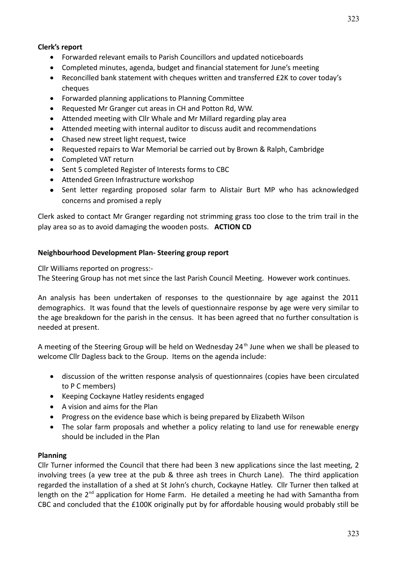#### **Clerk's report**

- Forwarded relevant emails to Parish Councillors and updated noticeboards
- Completed minutes, agenda, budget and financial statement for June's meeting
- Reconcilled bank statement with cheques written and transferred £2K to cover today's cheques
- Forwarded planning applications to Planning Committee
- Requested Mr Granger cut areas in CH and Potton Rd, WW.
- Attended meeting with Cllr Whale and Mr Millard regarding play area
- Attended meeting with internal auditor to discuss audit and recommendations
- Chased new street light request, twice
- Requested repairs to War Memorial be carried out by Brown & Ralph, Cambridge
- Completed VAT return
- Sent 5 completed Register of Interests forms to CBC
- Attended Green Infrastructure workshop
- Sent letter regarding proposed solar farm to Alistair Burt MP who has acknowledged concerns and promised a reply

Clerk asked to contact Mr Granger regarding not strimming grass too close to the trim trail in the play area so as to avoid damaging the wooden posts. **ACTION CD**

#### **Neighbourhood Development Plan- Steering group report**

Cllr Williams reported on progress:-

The Steering Group has not met since the last Parish Council Meeting. However work continues.

An analysis has been undertaken of responses to the questionnaire by age against the 2011 demographics. It was found that the levels of questionnaire response by age were very similar to the age breakdown for the parish in the census. It has been agreed that no further consultation is needed at present.

A meeting of the Steering Group will be held on Wednesday 24<sup>th</sup> June when we shall be pleased to welcome Cllr Dagless back to the Group. Items on the agenda include:

- discussion of the written response analysis of questionnaires (copies have been circulated to P C members)
- Keeping Cockayne Hatley residents engaged
- A vision and aims for the Plan
- Progress on the evidence base which is being prepared by Elizabeth Wilson
- The solar farm proposals and whether a policy relating to land use for renewable energy should be included in the Plan

#### **Planning**

Cllr Turner informed the Council that there had been 3 new applications since the last meeting, 2 involving trees (a yew tree at the pub & three ash trees in Church Lane). The third application regarded the installation of a shed at St John's church, Cockayne Hatley. Cllr Turner then talked at length on the  $2^{nd}$  application for Home Farm. He detailed a meeting he had with Samantha from CBC and concluded that the £100K originally put by for affordable housing would probably still be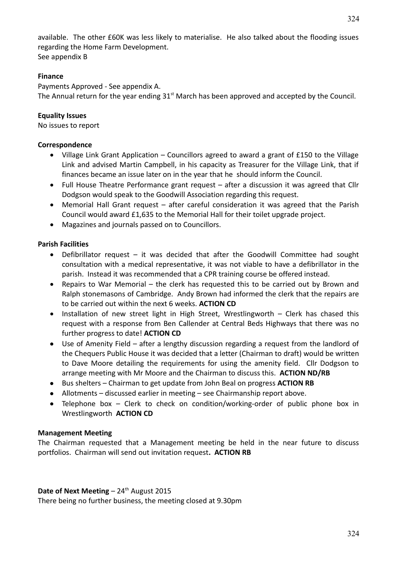324

available. The other £60K was less likely to materialise. He also talked about the flooding issues regarding the Home Farm Development. See appendix B

### **Finance**

Payments Approved - See appendix A. The Annual return for the year ending  $31<sup>st</sup>$  March has been approved and accepted by the Council.

## **Equality Issues**

No issues to report

#### **Correspondence**

- Village Link Grant Application Councillors agreed to award a grant of £150 to the Village Link and advised Martin Campbell, in his capacity as Treasurer for the Village Link, that if finances became an issue later on in the year that he should inform the Council.
- Full House Theatre Performance grant request after a discussion it was agreed that Cllr Dodgson would speak to the Goodwill Association regarding this request.
- Memorial Hall Grant request after careful consideration it was agreed that the Parish Council would award £1,635 to the Memorial Hall for their toilet upgrade project.
- Magazines and journals passed on to Councillors.

### **Parish Facilities**

- Defibrillator request it was decided that after the Goodwill Committee had sought consultation with a medical representative, it was not viable to have a defibrillator in the parish. Instead it was recommended that a CPR training course be offered instead.
- Repairs to War Memorial the clerk has requested this to be carried out by Brown and Ralph stonemasons of Cambridge. Andy Brown had informed the clerk that the repairs are to be carried out within the next 6 weeks. **ACTION CD**
- Installation of new street light in High Street, Wrestlingworth Clerk has chased this request with a response from Ben Callender at Central Beds Highways that there was no further progress to date! **ACTION CD**
- Use of Amenity Field after a lengthy discussion regarding a request from the landlord of the Chequers Public House it was decided that a letter (Chairman to draft) would be written to Dave Moore detailing the requirements for using the amenity field. Cllr Dodgson to arrange meeting with Mr Moore and the Chairman to discuss this. **ACTION ND/RB**
- Bus shelters Chairman to get update from John Beal on progress **ACTION RB**
- Allotments discussed earlier in meeting see Chairmanship report above.
- Telephone box Clerk to check on condition/working-order of public phone box in Wrestlingworth **ACTION CD**

#### **Management Meeting**

The Chairman requested that a Management meeting be held in the near future to discuss portfolios. Chairman will send out invitation request**. ACTION RB**

#### **Date of Next Meeting**  $-24$ <sup>th</sup> August 2015

There being no further business, the meeting closed at 9.30pm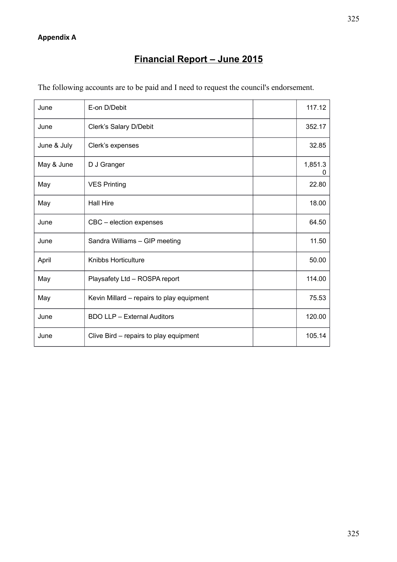# **Financial Report – June 2015**

| The following accounts are to be paid and I need to request the council's endorsement. |  |  |  |
|----------------------------------------------------------------------------------------|--|--|--|
|                                                                                        |  |  |  |

| June        | E-on D/Debit                              | 117.12       |
|-------------|-------------------------------------------|--------------|
| June        | Clerk's Salary D/Debit                    | 352.17       |
| June & July | Clerk's expenses                          | 32.85        |
| May & June  | D J Granger                               | 1,851.3<br>0 |
| May         | <b>VES Printing</b>                       | 22.80        |
| May         | <b>Hall Hire</b>                          | 18.00        |
| June        | CBC - election expenses                   | 64.50        |
| June        | Sandra Williams - GIP meeting             | 11.50        |
| April       | Knibbs Horticulture                       | 50.00        |
| May         | Playsafety Ltd - ROSPA report             | 114.00       |
| May         | Kevin Millard – repairs to play equipment | 75.53        |
| June        | <b>BDO LLP - External Auditors</b>        | 120.00       |
| June        | Clive Bird – repairs to play equipment    | 105.14       |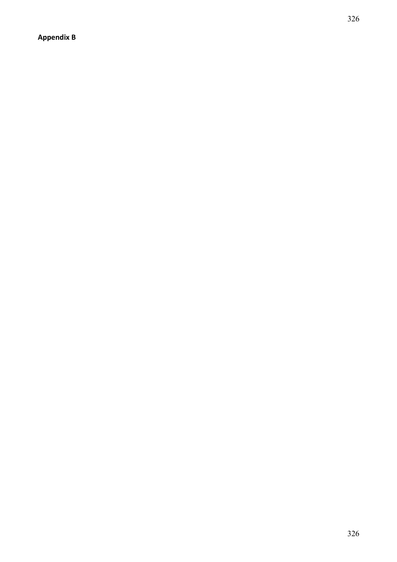**Appendix B**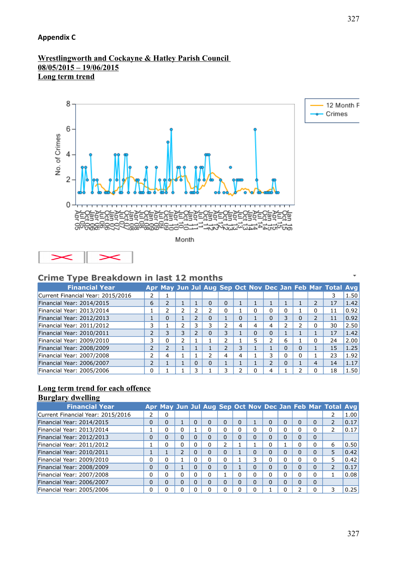## **Appendix C**

#### **Wrestlingworth and Cockayne & Hatley Parish Council 08/05/2015 – 19/06/2015 Long term trend**



Month



# **Crime Type Breakdown in last 12 months**

| . .<br><b>Financial Year</b>      |                |                          |   |          |          |   |   |          |    |          |   |                          | Apr May Jun Jul Aug Sep Oct Nov Dec Jan Feb Mar Total Avg |      |
|-----------------------------------|----------------|--------------------------|---|----------|----------|---|---|----------|----|----------|---|--------------------------|-----------------------------------------------------------|------|
| Current Financial Year: 2015/2016 |                |                          |   |          |          |   |   |          |    |          |   |                          | 3                                                         | 1.50 |
| Financial Year: 2014/2015         | 6              | 2                        |   |          | 0        | 0 |   |          |    |          |   | $\overline{\phantom{0}}$ | 17                                                        | 1.42 |
| Financial Year: 2013/2014         |                | ∍                        |   |          |          | 0 |   | 0        | 0  | 0        |   | 0                        | 11                                                        | 0.92 |
| Financial Year: 2012/2013         |                | 0                        |   |          | 0        |   | 0 |          | 0  | 3        | ი | $\overline{2}$           | 11                                                        | 0.92 |
| Financial Year: 2011/2012         | 3              |                          |   |          | 3        |   | 4 | 4        | 4  | ר        |   | $\Omega$                 | 30                                                        | 2.50 |
| Financial Year: 2010/2011         | $\overline{2}$ | 3                        | 3 |          | 0        | 3 |   | $\Omega$ | 0  |          |   |                          | 17                                                        | 1.42 |
| Financial Year: 2009/2010         | 3              | 0                        | フ |          |          | ר |   | 5        | ∍  | 6        |   | $\Omega$                 | 24                                                        | 2.00 |
| Financial Year: 2008/2009         | $\overline{2}$ | $\overline{\phantom{a}}$ |   |          |          | ำ | 3 |          |    | $\Omega$ |   |                          | 15                                                        | 1.25 |
| Financial Year: 2007/2008         | 2              | $\overline{4}$           |   |          | ገ        | 4 | 4 |          | 3  | 0        |   |                          | 23                                                        | 1.92 |
| Financial Year: 2006/2007         | $\overline{2}$ |                          |   | $\Omega$ | $\Omega$ |   |   |          | C. | $\Omega$ |   | 4                        | 14                                                        | 1.17 |
| Financial Year: 2005/2006         | $\Omega$       |                          |   |          |          | 3 |   | 0        | 4  |          |   | O                        | 18                                                        | 1.50 |

# **Long term trend for each offence**

# **Burglary dwelling**

| <b>Financial Year</b>             |   |          |          |          |          |          |   |          |          |          |          | Apr May Jun Jul Aug Sep Oct Nov Dec Jan Feb Mar Total Avg |      |
|-----------------------------------|---|----------|----------|----------|----------|----------|---|----------|----------|----------|----------|-----------------------------------------------------------|------|
| Current Financial Year: 2015/2016 | 2 | 0        |          |          |          |          |   |          |          |          |          |                                                           | 1.00 |
| Financial Year: 2014/2015         | 0 | 0        |          | 0        | 0        | 0        | ი |          | 0        | 0        | $\Omega$ |                                                           | 0.17 |
| Financial Year: 2013/2014         |   | 0        | 0        |          | o        | $\Omega$ | n | $\Omega$ | 0        | 0        | 0        |                                                           | 0.17 |
| Financial Year: 2012/2013         | 0 | $\Omega$ | $\Omega$ | $\Omega$ | $\Omega$ | $\Omega$ | n | $\Omega$ | 0        | 0        | $\Omega$ |                                                           |      |
| Financial Year: 2011/2012         |   | 0        | 0        | 0        | 0        | っ        |   |          | 0        |          | 0        | 6                                                         | 0.50 |
| Financial Year: 2010/2011         |   |          | ר        | $\Omega$ | $\Omega$ | $\Omega$ |   | $\Omega$ | $\Omega$ | $\Omega$ | $\Omega$ | 5                                                         | 0.42 |
| Financial Year: 2009/2010         | 0 | 0        |          |          | 0        | $\Omega$ |   | 3        | 0        | 0        | 0        | 5                                                         | 0.42 |
| Financial Year: 2008/2009         | 0 | 0        |          | $\Omega$ | 0        | $\Omega$ |   | 0        | 0        | 0        | $\Omega$ |                                                           | 0.17 |
| Financial Year: 2007/2008         | 0 | 0        | 0        | 0        | 0        |          | ი | 0        | 0        | 0        | 0        |                                                           | 0.08 |
| Financial Year: 2006/2007         | 0 | $\Omega$ | $\Omega$ | 0        | 0        | $\Omega$ | 0 | $\Omega$ | 0        | 0        | $\Omega$ |                                                           |      |
| Financial Year: 2005/2006         | 0 | 0        | 0        |          |          | 0        |   | $\Omega$ |          | 0        | $\Omega$ | 3                                                         | 0.25 |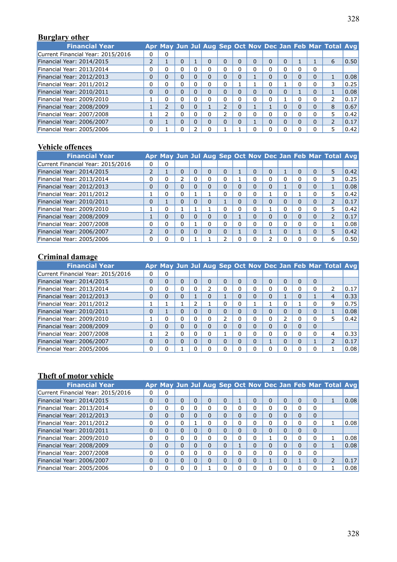# **Burglary other**

| <b>Financial Year</b>             |                |                          |          |          |                |          |          |   |          |          | Apr May Jun Jul Aug Sep Oct Nov Dec Jan Feb Mar Total Avg |      |
|-----------------------------------|----------------|--------------------------|----------|----------|----------------|----------|----------|---|----------|----------|-----------------------------------------------------------|------|
| Current Financial Year: 2015/2016 | 0              | 0                        |          |          |                |          |          |   |          |          |                                                           |      |
| Financial Year: 2014/2015         | 2              |                          | 0        | $\Omega$ | 0              | 0        | $\Omega$ | 0 | O        |          | 6                                                         | 0.50 |
| Financial Year: 2013/2014         | 0              | 0                        | 0        | 0        | U              | U        | $\Omega$ | 0 | 0        | $\Omega$ |                                                           |      |
| Financial Year: 2012/2013         | $\overline{0}$ | $\Omega$                 | $\Omega$ | $\Omega$ | 0              | 0        |          | 0 | 0        | $\Omega$ |                                                           | 0.08 |
| Financial Year: 2011/2012         | 0              | 0                        | 0        | 0        |                |          |          | 0 |          | 0        |                                                           | 0.25 |
| Financial Year: 2010/2011         | $\Omega$       | 0                        | $\Omega$ | $\Omega$ | 0              | 0        | $\Omega$ | 0 | $\Omega$ | $\Omega$ |                                                           | 0.08 |
| Financial Year: 2009/2010         |                | 0                        |          | 0        |                | 0        | 0        | 0 |          | 0        | 2                                                         | 0.17 |
| Financial Year: 2008/2009         |                | $\overline{\phantom{a}}$ | $\Omega$ |          | $\overline{2}$ | $\Omega$ |          |   | O        | $\Omega$ | 8                                                         | 0.67 |
| Financial Year: 2007/2008         |                | ∍                        | 0        | 0        | ว              | 0        | $\Omega$ | 0 | 0        | 0        | 5                                                         | 0.42 |
| Financial Year: 2006/2007         | 0              |                          | $\Omega$ | $\Omega$ | U              | $\Omega$ |          | 0 | $\Omega$ | $\Omega$ |                                                           | 0.17 |
| Financial Year: 2005/2006         | 0              |                          |          | 0        |                |          | 0        | 0 | $\Omega$ | 0        |                                                           | 0.42 |

# **Vehicle offences**

| <b>Financial Year</b>             |                |          |          |   |          |          |          |          |   |          |                | Apr May Jun Jul Aug Sep Oct Nov Dec Jan Feb Mar Total Avg |      |
|-----------------------------------|----------------|----------|----------|---|----------|----------|----------|----------|---|----------|----------------|-----------------------------------------------------------|------|
| Current Financial Year: 2015/2016 | 0              | 0        |          |   |          |          |          |          |   |          |                |                                                           |      |
| Financial Year: 2014/2015         |                |          | $\Omega$ |   | $\Omega$ | $\Omega$ |          | $\Omega$ | 0 |          | $\Omega$       | 5                                                         | 0.42 |
| Financial Year: 2013/2014         | 0              | 0        |          | O | $\Omega$ | 0        |          | 0        | 0 | O        | 0              | 3                                                         | 0.25 |
| Financial Year: 2012/2013         | 0              | $\Omega$ | 0        |   | 0        | 0        | 0        | $\Omega$ | 0 |          | 0              |                                                           | 0.08 |
| Financial Year: 2011/2012         |                | 0        | 0        |   |          | 0        |          | $\Omega$ |   | O        | 0              | 5                                                         | 0.42 |
| Financial Year: 2010/2011         | 0              |          | $\Omega$ |   | $\Omega$ |          | $\Omega$ | $\Omega$ | 0 | $\Omega$ | $\Omega$       | $\overline{\phantom{a}}$                                  | 0.17 |
| Financial Year: 2009/2010         |                | 0        |          |   |          | U        | 0        | $\Omega$ |   | 0        | 0              | 5                                                         | 0.42 |
| Financial Year: 2008/2009         | J.             | 0        | $\Omega$ |   | $\Omega$ | 0        |          | $\Omega$ | 0 | $\Omega$ | $\overline{0}$ |                                                           | 0.17 |
| Financial Year: 2007/2008         | 0              | 0        | 0        |   | 0        | U        |          | $\Omega$ | 0 | $\Omega$ | 0              |                                                           | 0.08 |
| Financial Year: 2006/2007         | $\overline{2}$ | 0        | $\Omega$ |   | $\Omega$ | 0        |          | $\Omega$ |   | $\Omega$ | $\Omega$       | 5                                                         | 0.42 |
| Financial Year: 2005/2006         | 0              | 0        | 0        |   |          |          |          | 0        | ∍ |          | 0              | 6                                                         | 0.50 |

# **Criminal damage**

| <b>Financial Year</b>             |          |          |              |          |          |   |          |          |              |          |              |          | Apr May Jun Jul Aug Sep Oct Nov Dec Jan Feb Mar Total Avg |      |
|-----------------------------------|----------|----------|--------------|----------|----------|---|----------|----------|--------------|----------|--------------|----------|-----------------------------------------------------------|------|
| Current Financial Year: 2015/2016 | 0        | 0        |              |          |          |   |          |          |              |          |              |          |                                                           |      |
| Financial Year: 2014/2015         | 0        | 0        | $\Omega$     | 0        | 0        | 0 | $\Omega$ | $\Omega$ | $\Omega$     | $\Omega$ | <sup>0</sup> | $\Omega$ |                                                           |      |
| Financial Year: 2013/2014         | 0        | 0        | 0            |          | C.       | O | 0        | $\Omega$ | 0            | 0        |              | 0        | 2                                                         | 0.17 |
| Financial Year: 2012/2013         | $\Omega$ | 0        | $\Omega$     |          | 0        |   | 0        | $\Omega$ | 0            |          |              |          | 4                                                         | 0.33 |
| Financial Year: 2011/2012         |          |          |              |          |          | 0 | 0        |          |              | 0        |              | $\Omega$ | 9                                                         | 0.75 |
| Financial Year: 2010/2011         | $\Omega$ |          | $\Omega$     |          | 0        | 0 | $\Omega$ | $\Omega$ | 0            | $\Omega$ |              | $\Omega$ |                                                           | 0.08 |
| Financial Year: 2009/2010         |          | 0        | 0            |          | 0        | っ | 0        | $\Omega$ | $\mathbf{0}$ | ∍        |              | $\Omega$ | 5                                                         | 0.42 |
| Financial Year: 2008/2009         | 0        | 0        | $\Omega$     | $\Omega$ | 0        | 0 | 0        | $\Omega$ | $\Omega$     | 0        | 0            | $\Omega$ |                                                           |      |
| Financial Year: 2007/2008         |          | C.       | <sup>0</sup> |          | 0        |   | 0        | $\Omega$ | $\Omega$     | $\Omega$ |              | $\Omega$ | 4                                                         | 0.33 |
| Financial Year: 2006/2007         | $\Omega$ | $\Omega$ | <sup>0</sup> | $\Omega$ | $\Omega$ | 0 | $\Omega$ | $\Omega$ |              | $\Omega$ |              |          | $\overline{\phantom{a}}$                                  | 0.17 |
| Financial Year: 2005/2006         | $\Omega$ | 0        |              |          | 0        | U |          | $\Omega$ | O            | U        |              | $\Omega$ |                                                           | 0.08 |

# **Theft of motor vehicle**

| <b>Financial Year</b>             |          |          |          |   |   |          |   |          |   |   |   |          | Apr May Jun Jul Aug Sep Oct Nov Dec Jan Feb Mar Total Avg |      |
|-----------------------------------|----------|----------|----------|---|---|----------|---|----------|---|---|---|----------|-----------------------------------------------------------|------|
| Current Financial Year: 2015/2016 | 0        | 0        |          |   |   |          |   |          |   |   |   |          |                                                           |      |
| Financial Year: 2014/2015         | 0        | 0        | 0        | 0 | 0 | $\Omega$ |   | $\Omega$ | 0 | O | n | $\Omega$ |                                                           | 0.08 |
| Financial Year: 2013/2014         | $\Omega$ | 0        | 0        |   | 0 | 0        | ი | 0        | 0 | O |   | 0        |                                                           |      |
| Financial Year: 2012/2013         | $\Omega$ | $\Omega$ | $\Omega$ |   | 0 | $\Omega$ | 0 | $\Omega$ | 0 | 0 |   | $\Omega$ |                                                           |      |
| Financial Year: 2011/2012         | 0        | 0        | 0        |   | 0 | 0        | 0 | 0        | 0 | 0 |   | 0        |                                                           | 0.08 |
| Financial Year: 2010/2011         | $\Omega$ | 0        | $\Omega$ | 0 | 0 | $\Omega$ | 0 | 0        | 0 | 0 | 0 | 0        |                                                           |      |
| Financial Year: 2009/2010         | 0        | 0        |          | 0 | 0 | 0        | 0 | 0        |   | O |   | 0        |                                                           | 0.08 |
| Financial Year: 2008/2009         | $\Omega$ | 0        | $\Omega$ | 0 | 0 | $\Omega$ |   | $\Omega$ | 0 | 0 | n | $\Omega$ |                                                           | 0.08 |
| Financial Year: 2007/2008         | $\Omega$ | 0        | 0        |   | 0 | 0        | 0 | $\Omega$ | 0 | 0 |   | 0        |                                                           |      |
| Financial Year: 2006/2007         | $\Omega$ | $\Omega$ | $\Omega$ | 0 | 0 | $\Omega$ | 0 | $\Omega$ |   | 0 |   | $\Omega$ | $\overline{z}$                                            | 0.17 |
| Financial Year: 2005/2006         | $\Omega$ | 0        |          |   |   | U        |   | 0        | 0 | 0 |   | 0        |                                                           | 0.08 |